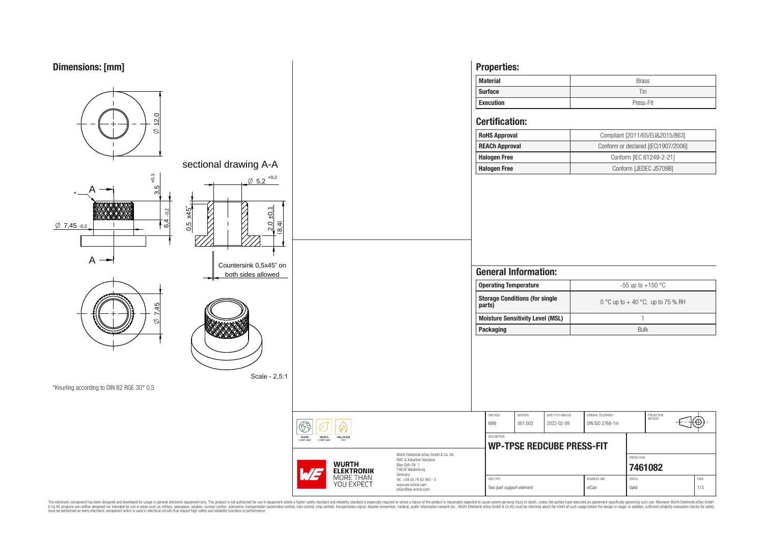

This electronic component has been designed and developed for usage in general electronic equipment only. This product is not authorized for subserved requipment where a higher selection equipment where a higher selection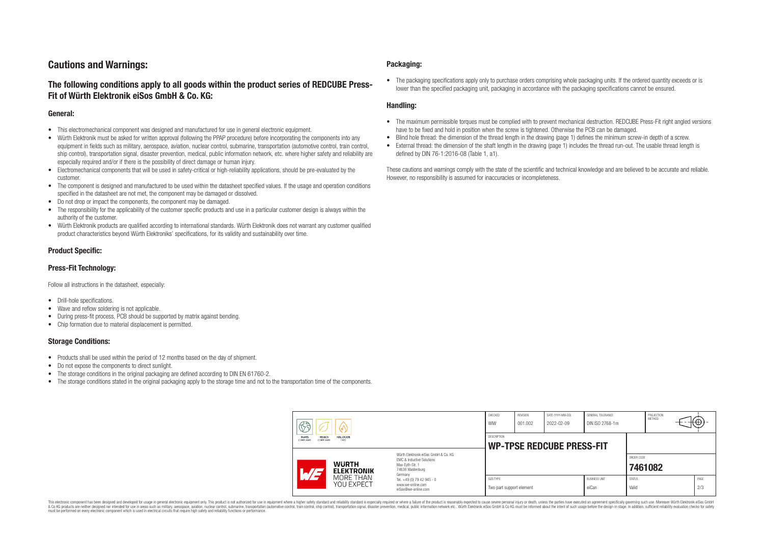# **Cautions and Warnings:**

# **The following conditions apply to all goods within the product series of REDCUBE Press-Fit of Würth Elektronik eiSos GmbH & Co. KG:**

### **General:**

- This electromechanical component was designed and manufactured for use in general electronic equipment.
- Würth Elektronik must be asked for written approval (following the PPAP procedure) before incorporating the components into any equipment in fields such as military, aerospace, aviation, nuclear control, submarine, transportation (automotive control, train control, ship control), transportation signal, disaster prevention, medical, public information network, etc. where higher safety and reliability are especially required and/or if there is the possibility of direct damage or human injury.
- Electromechanical components that will be used in safety-critical or high-reliability applications, should be pre-evaluated by the customer.
- The component is designed and manufactured to be used within the datasheet specified values. If the usage and operation conditions specified in the datasheet are not met, the component may be damaged or dissolved.
- Do not drop or impact the components, the component may be damaged.
- The responsibility for the applicability of the customer specific products and use in a particular customer design is always within the authority of the customer.
- Würth Elektronik products are qualified according to international standards. Würth Elektronik does not warrant any customer qualified product characteristics beyond Würth Elektroniks' specifications, for its validity and sustainability over time.

### **Product Specific:**

### **Press-Fit Technology:**

Follow all instructions in the datasheet, especially:

- Drill-hole specifications.
- Wave and reflow soldering is not applicable.
- During press-fit process, PCB should be supported by matrix against bending.
- Chip formation due to material displacement is permitted.

### **Storage Conditions:**

- Products shall be used within the period of 12 months based on the day of shipment.
- Do not expose the components to direct sunlight.
- The storage conditions in the original packaging are defined according to DIN EN 61760-2.
- The storage conditions stated in the original packaging apply to the storage time and not to the transportation time of the components.

#### **Packaging:**

• The packaging specifications apply only to purchase orders comprising whole packaging units. If the ordered quantity exceeds or is lower than the specified packaging unit, packaging in accordance with the packaging specifications cannot be ensured.

### **Handling:**

- The maximum permissible torques must be complied with to prevent mechanical destruction. REDCUBE Press-Fit right angled versions have to be fixed and hold in position when the screw is tightened. Otherwise the PCB can be damaged.
- Blind hole thread: the dimension of the thread length in the drawing (page 1) defines the minimum screw-in depth of a screw.
- External thread: the dimension of the shaft length in the drawing (page 1) includes the thread run-out. The usable thread length is defined by DIN 76-1:2016-08 (Table 1, a1).

These cautions and warnings comply with the state of the scientific and technical knowledge and are believed to be accurate and reliable. However, no responsibility is assumed for inaccuracies or incompleteness.

| $\circledS$                                                              |                                                                                                                                                                                               | CHECKED<br>WIW                        | <b>REVISION</b><br>001.002                             | DATE (YYYY-MM-DD)<br>2022-02-09 | GENERAL TOLERANCE<br>DIN ISO 2768-1m |                        | PROJECTION<br>METHOD | ₩Ψ |             |  |
|--------------------------------------------------------------------------|-----------------------------------------------------------------------------------------------------------------------------------------------------------------------------------------------|---------------------------------------|--------------------------------------------------------|---------------------------------|--------------------------------------|------------------------|----------------------|----|-------------|--|
| RoHS<br><b>REACh</b><br><b>HALOGEN</b><br>COMPLIANT<br>FREE<br>COMPLIANT |                                                                                                                                                                                               |                                       | <b>DESCRIPTION</b><br><b>WP-TPSE REDCUBE PRESS-FIT</b> |                                 |                                      |                        |                      |    |             |  |
| <b>WURTH</b><br>ATE<br><b>ELEKTRONIK</b>                                 | Würth Elektronik eiSos GmbH & Co. KG<br>EMC & Inductive Solutions<br>Max-Evth-Str. 1<br>74638 Waldenburg<br>Germany<br>Tel. +49 (0) 79 42 945 - 0<br>www.we-online.com<br>eiSos@we-online.com |                                       |                                                        |                                 |                                      | ORDER CODE<br>7461082  |                      |    |             |  |
| MORE THAN<br>YOU EXPECT                                                  |                                                                                                                                                                                               | SIZE/TYPE<br>Two part support element |                                                        |                                 | <b>BUSINESS UNIT</b><br>eiCan        | <b>STATUS</b><br>Valid |                      |    | PAGE<br>2/3 |  |

This electronic component has been designed and developed for usage in general electronic equipment only. This product is not authorized for use in equipment where a higher safety standard and reliability standard si espec & Ook product a label and the membed of the seasuch as marked and as which such a membed and the such assume that income in the seasuch and the simulation and the such assume that include to the such a membed and the such